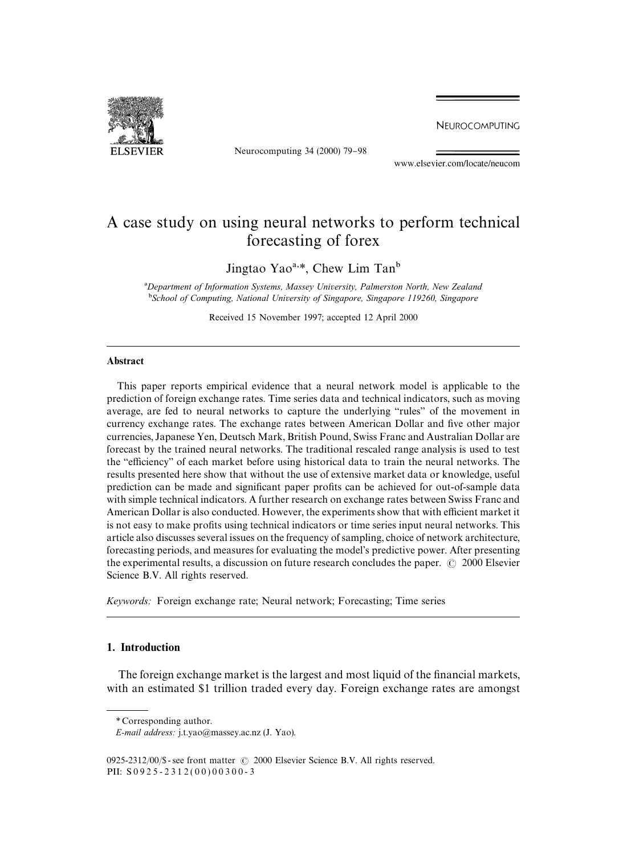

Neurocomputing 34 (2000) 79-98

NEUROCOMPUTING

www.elsevier.com/locate/neucom

# A case study on using neural networks to perform technical forecasting of forex

Jingtao Yao<sup>a,\*</sup>, Chew Lim Tan<sup>b</sup>

!*Department of Information Systems, Massey University, Palmerston North, New Zealand* "*School of Computing, National University of Singapore, Singapore 119260, Singapore*

Received 15 November 1997; accepted 12 April 2000

#### **Abstract**

This paper reports empirical evidence that a neural network model is applicable to the prediction of foreign exchange rates. Time series data and technical indicators, such as moving average, are fed to neural networks to capture the underlying "rules" of the movement in currency exchange rates. The exchange rates between American Dollar and five other major currencies, Japanese Yen, Deutsch Mark, British Pound, Swiss Franc and Australian Dollar are forecast by the trained neural networks. The traditional rescaled range analysis is used to test the "efficiency" of each market before using historical data to train the neural networks. The results presented here show that without the use of extensive market data or knowledge, useful prediction can be made and significant paper profits can be achieved for out-of-sample data with simple technical indicators. A further research on exchange rates between Swiss Franc and American Dollar is also conducted. However, the experiments show that with efficient market it is not easy to make profits using technical indicators or time series input neural networks. This article also discusses several issues on the frequency of sampling, choice of network architecture, forecasting periods, and measures for evaluating the model's predictive power. After presenting the experimental results, a discussion on future research concludes the paper.  $\odot$  2000 Elsevier Science B.V. All rights reserved.

*Keywords:* Foreign exchange rate; Neural network; Forecasting; Time series

# 1. Introduction

The foreign exchange market is the largest and most liquid of the financial markets, with an estimated \$1 trillion traded every day. Foreign exchange rates are amongst

*<sup>\*</sup>* Corresponding author.

*E-mail address:* j.t.yao@massey.ac.nz (J. Yao).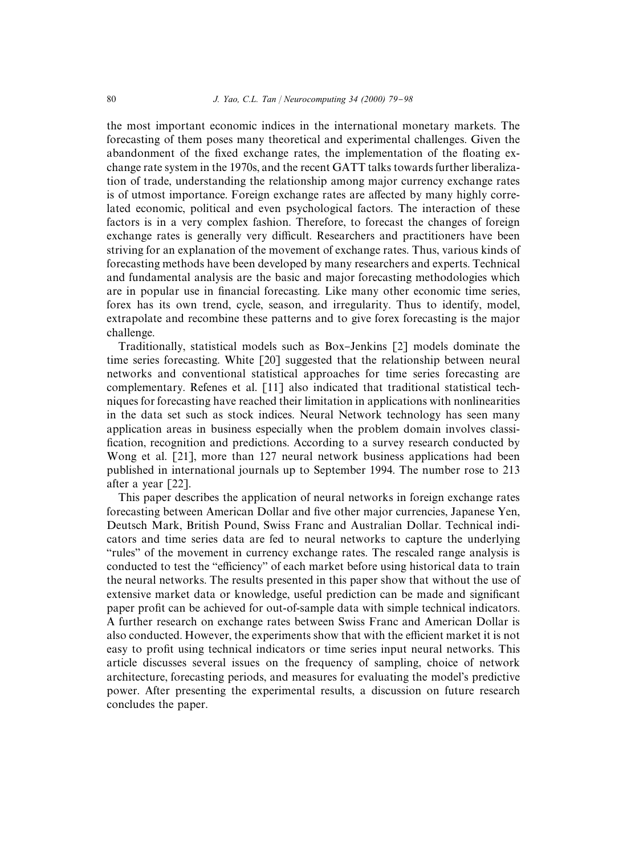the most important economic indices in the international monetary markets. The forecasting of them poses many theoretical and experimental challenges. Given the abandonment of the fixed exchange rates, the implementation of the floating exchange rate system in the 1970s, and the recent GATT talks towards further liberalization of trade, understanding the relationship among major currency exchange rates is of utmost importance. Foreign exchange rates are affected by many highly correlated economic, political and even psychological factors. The interaction of these factors is in a very complex fashion. Therefore, to forecast the changes of foreign exchange rates is generally very difficult. Researchers and practitioners have been striving for an explanation of the movement of exchange rates. Thus, various kinds of forecasting methods have been developed by many researchers and experts. Technical and fundamental analysis are the basic and major forecasting methodologies which are in popular use in financial forecasting. Like many other economic time series, forex has its own trend, cycle, season, and irregularity. Thus to identify, model, extrapolate and recombine these patterns and to give forex forecasting is the major challenge.

Traditionally, statistical models such as Box-Jenkins [2] models dominate the time series forecasting. White [20] suggested that the relationship between neural networks and conventional statistical approaches for time series forecasting are complementary. Refenes et al. [11] also indicated that traditional statistical techniques for forecasting have reached their limitation in applications with nonlinearities in the data set such as stock indices. Neural Network technology has seen many application areas in business especially when the problem domain involves classi fication, recognition and predictions. According to a survey research conducted by Wong et al. [21], more than 127 neural network business applications had been published in international journals up to September 1994. The number rose to 213 after a year [22].

This paper describes the application of neural networks in foreign exchange rates forecasting between American Dollar and five other major currencies, Japanese Yen, Deutsch Mark, British Pound, Swiss Franc and Australian Dollar. Technical indicators and time series data are fed to neural networks to capture the underlying "rules" of the movement in currency exchange rates. The rescaled range analysis is conducted to test the "efficiency" of each market before using historical data to train the neural networks. The results presented in this paper show that without the use of extensive market data or knowledge, useful prediction can be made and significant paper profit can be achieved for out-of-sample data with simple technical indicators. A further research on exchange rates between Swiss Franc and American Dollar is also conducted. However, the experiments show that with the efficient market it is not easy to profit using technical indicators or time series input neural networks. This article discusses several issues on the frequency of sampling, choice of network architecture, forecasting periods, and measures for evaluating the model's predictive power. After presenting the experimental results, a discussion on future research concludes the paper.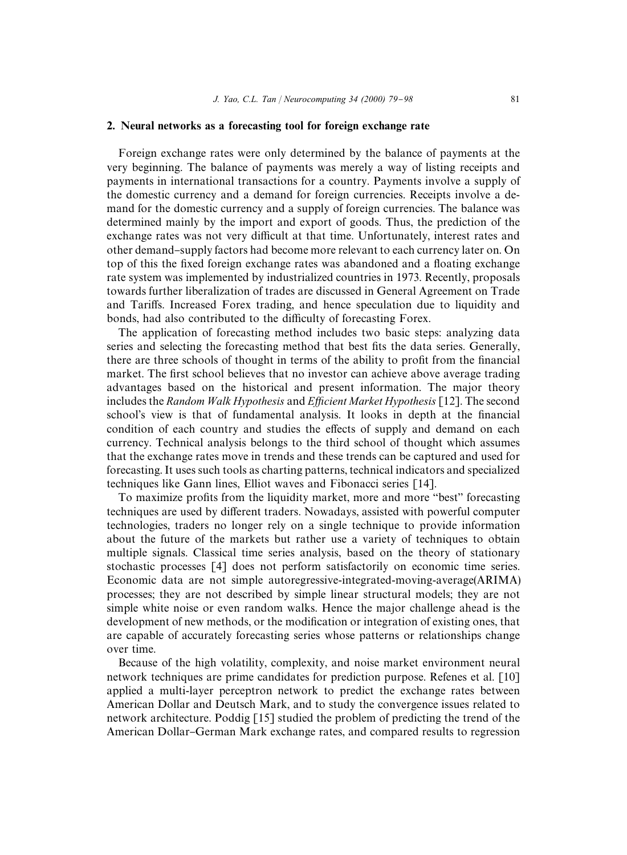## 2. Neural networks as a forecasting tool for foreign exchange rate

Foreign exchange rates were only determined by the balance of payments at the very beginning. The balance of payments was merely a way of listing receipts and payments in international transactions for a country. Payments involve a supply of the domestic currency and a demand for foreign currencies. Receipts involve a demand for the domestic currency and a supply of foreign currencies. The balance was determined mainly by the import and export of goods. Thus, the prediction of the exchange rates was not very difficult at that time. Unfortunately, interest rates and other demand-supply factors had become more relevant to each currency later on. On top of this the fixed foreign exchange rates was abandoned and a floating exchange rate system was implemented by industrialized countries in 1973. Recently, proposals towards further liberalization of trades are discussed in General Agreement on Trade and Tariffs. Increased Forex trading, and hence speculation due to liquidity and bonds, had also contributed to the difficulty of forecasting Forex.

The application of forecasting method includes two basic steps: analyzing data series and selecting the forecasting method that best fits the data series. Generally, there are three schools of thought in terms of the ability to profit from the financial market. The first school believes that no investor can achieve above average trading advantages based on the historical and present information. The major theory includes the *Random Walk Hypothesis* and *E*z*cient Market Hypothesis* [12]. The second school's view is that of fundamental analysis. It looks in depth at the financial condition of each country and studies the effects of supply and demand on each currency. Technical analysis belongs to the third school of thought which assumes that the exchange rates move in trends and these trends can be captured and used for forecasting. It uses such tools as charting patterns, technical indicators and specialized techniques like Gann lines, Elliot waves and Fibonacci series [14].

To maximize profits from the liquidity market, more and more "best" forecasting techniques are used by different traders. Nowadays, assisted with powerful computer technologies, traders no longer rely on a single technique to provide information about the future of the markets but rather use a variety of techniques to obtain multiple signals. Classical time series analysis, based on the theory of stationary stochastic processes [4] does not perform satisfactorily on economic time series. Economic data are not simple autoregressive-integrated-moving-average(ARIMA) processes; they are not described by simple linear structural models; they are not simple white noise or even random walks. Hence the major challenge ahead is the development of new methods, or the modification or integration of existing ones, that are capable of accurately forecasting series whose patterns or relationships change over time.

Because of the high volatility, complexity, and noise market environment neural network techniques are prime candidates for prediction purpose. Refenes et al. [10] applied a multi-layer perceptron network to predict the exchange rates between American Dollar and Deutsch Mark, and to study the convergence issues related to network architecture. Poddig [15] studied the problem of predicting the trend of the American Dollar–German Mark exchange rates, and compared results to regression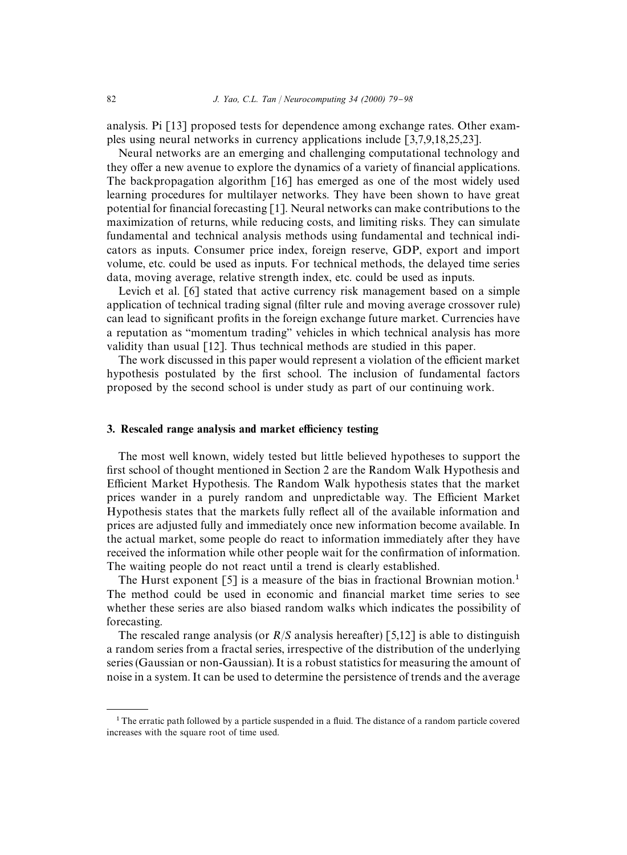analysis. Pi [13] proposed tests for dependence among exchange rates. Other examples using neural networks in currency applications include [3,7,9,18,25,23].

Neural networks are an emerging and challenging computational technology and they offer a new avenue to explore the dynamics of a variety of financial applications. The backpropagation algorithm [16] has emerged as one of the most widely used learning procedures for multilayer networks. They have been shown to have great potential for financial forecasting  $[1]$ . Neural networks can make contributions to the maximization of returns, while reducing costs, and limiting risks. They can simulate fundamental and technical analysis methods using fundamental and technical indicators as inputs. Consumer price index, foreign reserve, GDP, export and import volume, etc. could be used as inputs. For technical methods, the delayed time series data, moving average, relative strength index, etc. could be used as inputs.

Levich et al. [6] stated that active currency risk management based on a simple application of technical trading signal (filter rule and moving average crossover rule) can lead to significant profits in the foreign exchange future market. Currencies have a reputation as "momentum trading" vehicles in which technical analysis has more validity than usual [12]. Thus technical methods are studied in this paper.

The work discussed in this paper would represent a violation of the efficient market hypothesis postulated by the first school. The inclusion of fundamental factors proposed by the second school is under study as part of our continuing work.

## 3. Rescaled range analysis and market efficiency testing

The most well known, widely tested but little believed hypotheses to support the first school of thought mentioned in Section 2 are the Random Walk Hypothesis and Efficient Market Hypothesis. The Random Walk hypothesis states that the market prices wander in a purely random and unpredictable way. The Efficient Market Hypothesis states that the markets fully reflect all of the available information and prices are adjusted fully and immediately once new information become available. In the actual market, some people do react to information immediately after they have received the information while other people wait for the confirmation of information. The waiting people do not react until a trend is clearly established.

The Hurst exponent  $[5]$  is a measure of the bias in fractional Brownian motion.<sup>1</sup> The method could be used in economic and financial market time series to see whether these series are also biased random walks which indicates the possibility of forecasting.

The rescaled range analysis (or *R*/*S* analysis hereafter) [5,12] is able to distinguish a random series from a fractal series, irrespective of the distribution of the underlying series (Gaussian or non-Gaussian). It is a robust statistics for measuring the amount of noise in a system. It can be used to determine the persistence of trends and the average

<sup>&</sup>lt;sup>1</sup> The erratic path followed by a particle suspended in a fluid. The distance of a random particle covered increases with the square root of time used.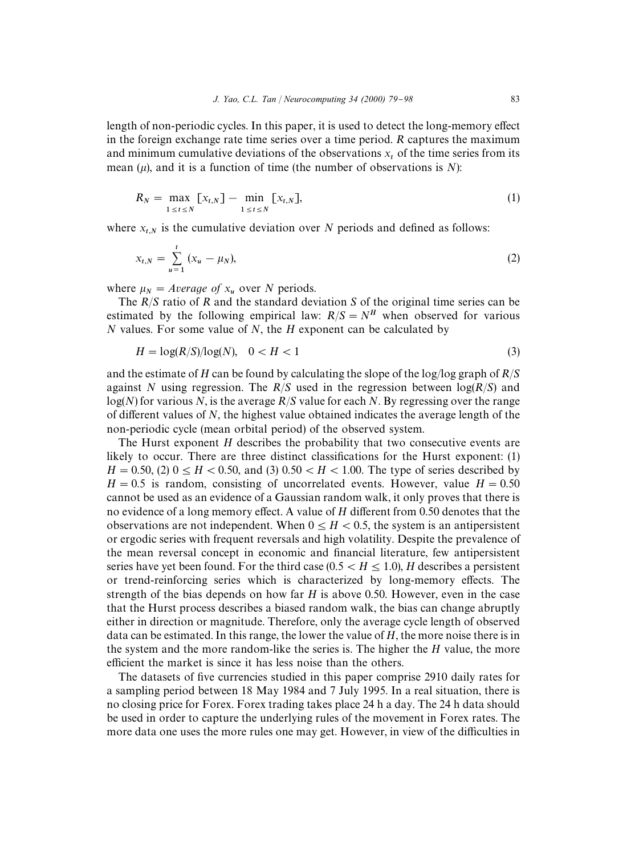length of non-periodic cycles. In this paper, it is used to detect the long-memory effect in the foreign exchange rate time series over a time period. *R* captures the maximum and minimum cumulative deviations of the observations  $x_t$  of the time series from its mean  $(\mu)$ , and it is a function of time (the number of observations is *N*):

$$
R_N = \max_{1 \le t \le N} \left[ x_{t,N} \right] - \min_{1 \le t \le N} \left[ x_{t,N} \right],\tag{1}
$$

where  $x_{t,N}$  is the cumulative deviation over *N* periods and defined as follows:

$$
x_{t,N} = \sum_{u=1}^{t} (x_u - \mu_N),
$$
 (2)

where  $\mu_N = Average \ of \ x_u$  over *N* periods.

The *R*/*S* ratio of *R* and the standard deviation *S* of the original time series can be estimated by the following empirical law:  $R/S = N<sup>H</sup>$  when observed for various *N* values. For some value of *N*, the *H* exponent can be calculated by

$$
H = \log(R/S)/\log(N), \quad 0 < H < 1\tag{3}
$$

and the estimate of *H* can be found by calculating the slope of the log/log graph of *R*/*S* against *N* using regression. The  $R/S$  used in the regression between  $log(R/S)$  and log(*N*) for various *N*, is the average *R*/*S* value for each *N*. By regressing over the range of different values of *N*, the highest value obtained indicates the average length of the non-periodic cycle (mean orbital period) of the observed system.

The Hurst exponent *H* describes the probability that two consecutive events are likely to occur. There are three distinct classifications for the Hurst exponent:  $(1)$  $H = 0.50$ , (2)  $0 \le H < 0.50$ , and (3)  $0.50 < H < 1.00$ . The type of series described by  $H = 0.5$  is random, consisting of uncorrelated events. However, value  $H = 0.50$ cannot be used as an evidence of a Gaussian random walk, it only proves that there is no evidence of a long memory effect. A value of *H* different from 0.50 denotes that the observations are not independent. When  $0 \leq H < 0.5$ , the system is an antipersistent or ergodic series with frequent reversals and high volatility. Despite the prevalence of the mean reversal concept in economic and financial literature, few antipersistent series have yet been found. For the third case  $(0.5 < H \le 1.0)$ , *H* describes a persistent or trend-reinforcing series which is characterized by long-memory effects. The strength of the bias depends on how far *H* is above 0.50. However, even in the case that the Hurst process describes a biased random walk, the bias can change abruptly either in direction or magnitude. Therefore, only the average cycle length of observed data can be estimated. In this range, the lower the value of *H*, the more noise there is in the system and the more random-like the series is. The higher the *H* value, the more efficient the market is since it has less noise than the others.

The datasets of five currencies studied in this paper comprise 2910 daily rates for a sampling period between 18 May 1984 and 7 July 1995. In a real situation, there is no closing price for Forex. Forex trading takes place 24 h a day. The 24 h data should be used in order to capture the underlying rules of the movement in Forex rates. The more data one uses the more rules one may get. However, in view of the difficulties in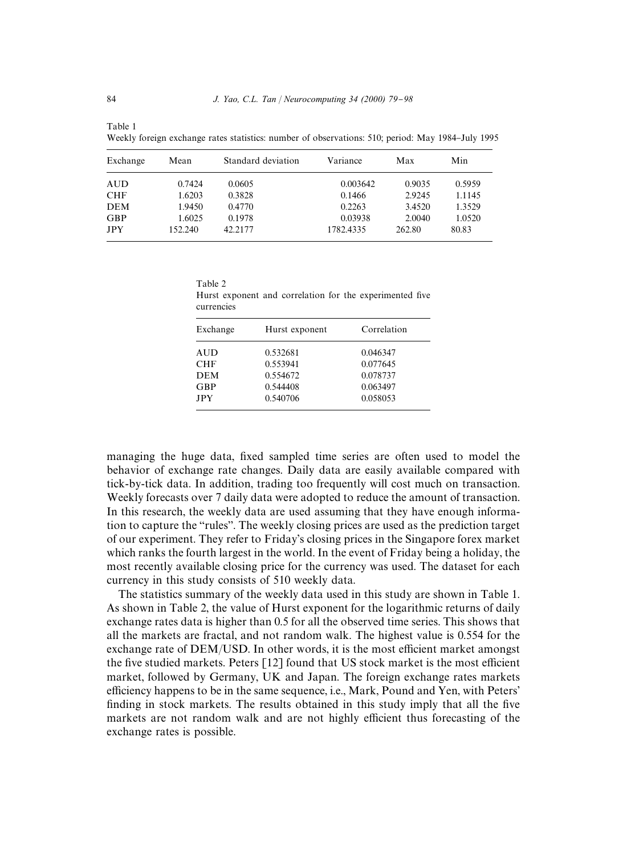| Mean    | Standard deviation | Variance  | Max    | Min    |
|---------|--------------------|-----------|--------|--------|
| 0.7424  | 0.0605             | 0.003642  | 0.9035 | 0.5959 |
| 1.6203  | 0.3828             | 0.1466    | 2.9245 | 1.1145 |
| 1.9450  | 0.4770             | 0.2263    | 3.4520 | 1.3529 |
| 1.6025  | 0.1978             | 0.03938   | 2.0040 | 1.0520 |
| 152.240 | 42.2177            | 1782.4335 | 262.80 | 80.83  |
|         |                    |           |        |        |

Weekly foreign exchange rates statistics: number of observations: 510; period: May 1984–July 1995

Table 2 Hurst exponent and correlation for the experimented five currencies

| Exchange | Hurst exponent | Correlation |
|----------|----------------|-------------|
| AUD      | 0.532681       | 0.046347    |
| CHF      | 0.553941       | 0.077645    |
| DEM      | 0.554672       | 0.078737    |
| GBP      | 0.544408       | 0.063497    |
| JPY      | 0.540706       | 0.058053    |

managing the huge data, fixed sampled time series are often used to model the behavior of exchange rate changes. Daily data are easily available compared with tick-by-tick data. In addition, trading too frequently will cost much on transaction. Weekly forecasts over 7 daily data were adopted to reduce the amount of transaction. In this research, the weekly data are used assuming that they have enough information to capture the "rules". The weekly closing prices are used as the prediction target of our experiment. They refer to Friday's closing prices in the Singapore forex market which ranks the fourth largest in the world. In the event of Friday being a holiday, the most recently available closing price for the currency was used. The dataset for each currency in this study consists of 510 weekly data.

The statistics summary of the weekly data used in this study are shown in Table 1. As shown in Table 2, the value of Hurst exponent for the logarithmic returns of daily exchange rates data is higher than 0.5 for all the observed time series. This shows that all the markets are fractal, and not random walk. The highest value is 0.554 for the exchange rate of DEM/USD. In other words, it is the most efficient market amongst the five studied markets. Peters  $\lceil 12 \rceil$  found that US stock market is the most efficient market, followed by Germany, UK and Japan. The foreign exchange rates markets efficiency happens to be in the same sequence, i.e., Mark, Pound and Yen, with Peters' finding in stock markets. The results obtained in this study imply that all the five markets are not random walk and are not highly efficient thus forecasting of the exchange rates is possible.

Table 1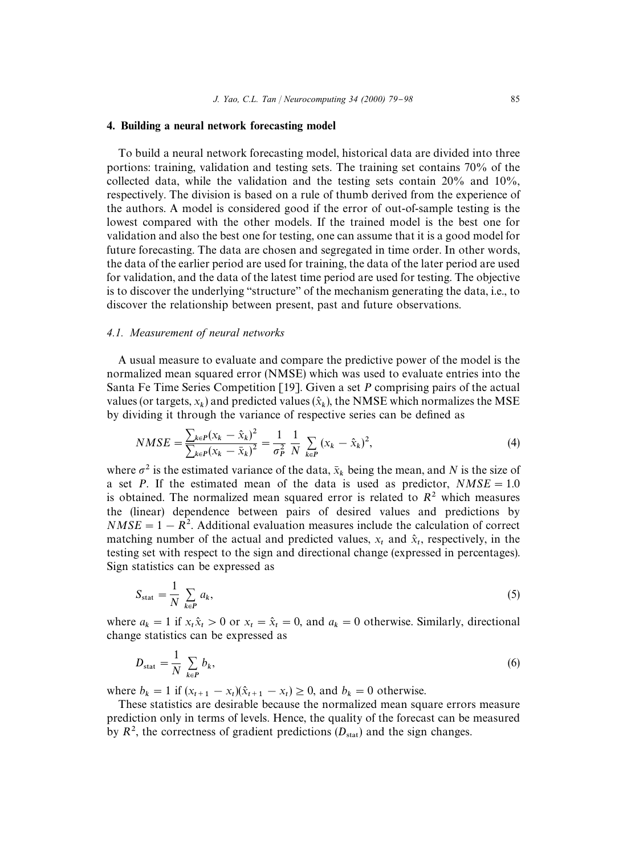## 4. Building a neural network forecasting model

To build a neural network forecasting model, historical data are divided into three portions: training, validation and testing sets. The training set contains 70% of the collected data, while the validation and the testing sets contain  $20\%$  and  $10\%$ , respectively. The division is based on a rule of thumb derived from the experience of the authors. A model is considered good if the error of out-of-sample testing is the lowest compared with the other models. If the trained model is the best one for validation and also the best one for testing, one can assume that it is a good model for future forecasting. The data are chosen and segregated in time order. In other words, the data of the earlier period are used for training, the data of the later period are used for validation, and the data of the latest time period are used for testing. The objective is to discover the underlying "structure" of the mechanism generating the data, i.e., to discover the relationship between present, past and future observations.

#### *4.1. Measurement of neural networks*

A usual measure to evaluate and compare the predictive power of the model is the normalized mean squared error (NMSE) which was used to evaluate entries into the Santa Fe Time Series Competition [19]. Given a set *P* comprising pairs of the actual values (or targets,  $x_k$ ) and predicted values  $(\hat{x}_k)$ , the NMSE which normalizes the MSE by dividing it through the variance of respective series can be defined as

$$
NMSE = \frac{\sum_{k \in P} (x_k - \hat{x}_k)^2}{\sum_{k \in P} (x_k - \bar{x}_k)^2} = \frac{1}{\sigma_P^2} \frac{1}{N} \sum_{k \in P} (x_k - \hat{x}_k)^2,
$$
\n(4)

where  $\sigma^2$  is the estimated variance of the data,  $\bar{x}_k$  being the mean, and *N* is the size of a set *P*. If the estimated mean of the data is used as predictor,  $NMSE = 1.0$ is obtained. The normalized mean squared error is related to  $R<sup>2</sup>$  which measures the (linear) dependence between pairs of desired values and predictions by *NMSE* =  $1 - R^2$ . Additional evaluation measures include the calculation of correct matching number of the actual and predicted values,  $x_t$  and  $\hat{x}_t$ , respectively, in the testing set with respect to the sign and directional change (expressed in percentages). Sign statistics can be expressed as

$$
S_{\text{stat}} = \frac{1}{N} \sum_{k \in P} a_k,\tag{5}
$$

where  $a_k = 1$  if  $x_t \hat{x}_t > 0$  or  $x_t = \hat{x}_t = 0$ , and  $a_k = 0$  otherwise. Similarly, directional change statistics can be expressed as

$$
D_{\text{stat}} = \frac{1}{N} \sum_{k \in P} b_k,\tag{6}
$$

where  $b_k = 1$  if  $(x_{t+1} - x_t)(\hat{x}_{t+1} - x_t) \ge 0$ , and  $b_k = 0$  otherwise.

 These statistics are desirable because the normalized mean square errors measure prediction only in terms of levels. Hence, the quality of the forecast can be measured by  $R^2$ , the correctness of gradient predictions ( $D_{stat}$ ) and the sign changes.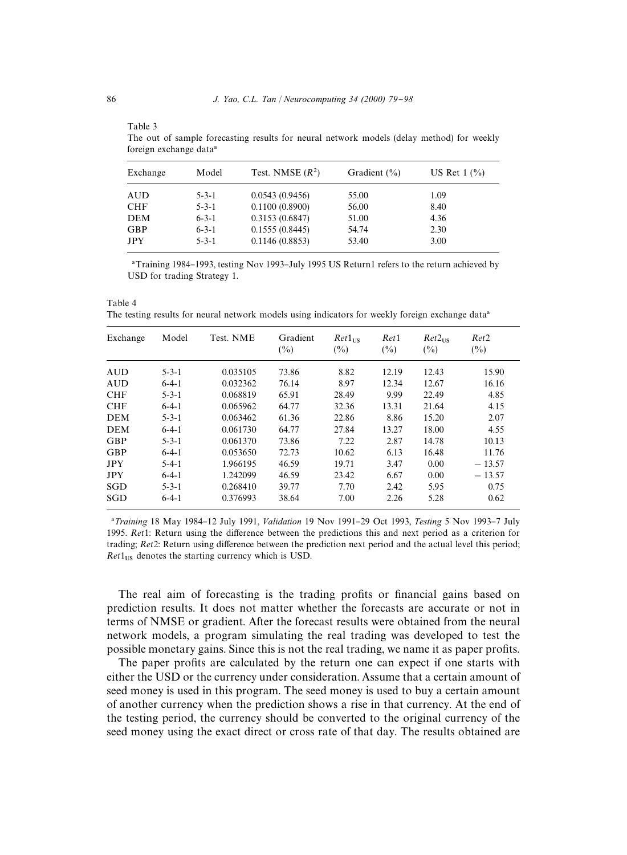| Exchange   | Model       | Test. NMSE $(R^2)$ | Gradient $(\% )$ | US Ret $1\frac{6}{6}$ |
|------------|-------------|--------------------|------------------|-----------------------|
| <b>AUD</b> | $5 - 3 - 1$ | 0.0543(0.9456)     | 55.00            | 1.09                  |
| <b>CHF</b> | $5 - 3 - 1$ | 0.1100(0.8900)     | 56.00            | 8.40                  |
| <b>DEM</b> | $6 - 3 - 1$ | 0.3153(0.6847)     | 51.00            | 4.36                  |
| <b>GBP</b> | $6 - 3 - 1$ | 0.1555(0.8445)     | 54.74            | 2.30                  |
| <b>JPY</b> | $5 - 3 - 1$ | 0.1146(0.8853)     | 53.40            | 3.00                  |

The out of sample forecasting results for neural network models (delay method) for weekly foreign exchange data<sup>a</sup>

<sup>a</sup>Training 1984–1993, testing Nov 1993–July 1995 US Return1 refers to the return achieved by USD for trading Strategy 1.

Table 4 The testing results for neural network models using indicators for weekly foreign exchange data<sup>a</sup>

| Exchange   | Model       | Test. NME | Gradient<br>$(\%)$ | $Ret1_{\text{US}}$<br>(%) | Ret1<br>$(\%)$ | $Ret2_{\text{US}}$<br>$(\%)$ | Ret2<br>(%) |
|------------|-------------|-----------|--------------------|---------------------------|----------------|------------------------------|-------------|
| <b>AUD</b> | $5 - 3 - 1$ | 0.035105  | 73.86              | 8.82                      | 12.19          | 12.43                        | 15.90       |
| <b>AUD</b> | $6-4-1$     | 0.032362  | 76.14              | 8.97                      | 12.34          | 12.67                        | 16.16       |
| <b>CHF</b> | $5 - 3 - 1$ | 0.068819  | 65.91              | 28.49                     | 9.99           | 22.49                        | 4.85        |
| <b>CHF</b> | $6-4-1$     | 0.065962  | 64.77              | 32.36                     | 13.31          | 21.64                        | 4.15        |
| <b>DEM</b> | $5 - 3 - 1$ | 0.063462  | 61.36              | 22.86                     | 8.86           | 15.20                        | 2.07        |
| <b>DEM</b> | $6-4-1$     | 0.061730  | 64.77              | 27.84                     | 13.27          | 18.00                        | 4.55        |
| GBP        | $5 - 3 - 1$ | 0.061370  | 73.86              | 7.22                      | 2.87           | 14.78                        | 10.13       |
| <b>GBP</b> | $6-4-1$     | 0.053650  | 72.73              | 10.62                     | 6.13           | 16.48                        | 11.76       |
| <b>JPY</b> | $5-4-1$     | 1.966195  | 46.59              | 19.71                     | 3.47           | 0.00                         | $-13.57$    |
| <b>JPY</b> | $6-4-1$     | 1.242099  | 46.59              | 23.42                     | 6.67           | 0.00                         | $-13.57$    |
| <b>SGD</b> | $5 - 3 - 1$ | 0.268410  | 39.77              | 7.70                      | 2.42           | 5.95                         | 0.75        |
| <b>SGD</b> | $6-4-1$     | 0.376993  | 38.64              | 7.00                      | 2.26           | 5.28                         | 0.62        |

!*Training* 18 May 1984}12 July 1991, *Validation* 19 Nov 1991}29 Oct 1993, *Testing* 5 Nov 1993}7 July 1995. *Ret*1: Return using the difference between the predictions this and next period as a criterion for trading; *Ret*2: Return using difference between the prediction next period and the actual level this period; *Ret*1 US denotes the starting currency which is USD.

The real aim of forecasting is the trading profits or financial gains based on prediction results. It does not matter whether the forecasts are accurate or not in terms of NMSE or gradient. After the forecast results were obtained from the neural network models, a program simulating the real trading was developed to test the possible monetary gains. Since this is not the real trading, we name it as paper profits.

The paper profits are calculated by the return one can expect if one starts with either the USD or the currency under consideration. Assume that a certain amount of seed money is used in this program. The seed money is used to buy a certain amount of another currency when the prediction shows a rise in that currency. At the end of the testing period, the currency should be converted to the original currency of the seed money using the exact direct or cross rate of that day. The results obtained are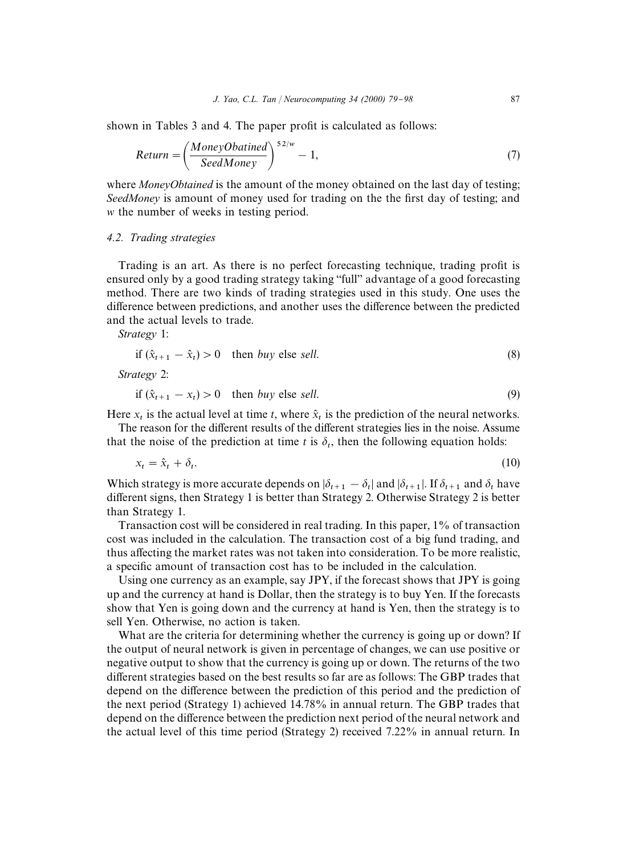shown in Tables 3 and 4. The paper profit is calculated as follows:

$$
Return = \left(\frac{MoneyObatined}{SeedMoney}\right)^{52/w} - 1,\tag{7}
$$

where *MoneyObtained* is the amount of the money obtained on the last day of testing; *SeedMoney* is amount of money used for trading on the the first day of testing; and *w* the number of weeks in testing period.

# *4.2. Trading strategies*

Trading is an art. As there is no perfect forecasting technique, trading profit is ensured only by a good trading strategy taking "full" advantage of a good forecasting method. There are two kinds of trading strategies used in this study. One uses the difference between predictions, and another uses the difference between the predicted and the actual levels to trade.

*Strategy* 1:

$$
\text{if } (\hat{x}_{t+1} - \hat{x}_t) > 0 \quad \text{then } buy \text{ else } sell. \tag{8}
$$

*Strategy* 2:

$$
\text{if } (\hat{x}_{t+1} - x_t) > 0 \quad \text{then } buy \text{ else } sell. \tag{9}
$$

Here  $x_t$  is the actual level at time *t*, where  $\hat{x}_t$  is the prediction of the neural networks.

The reason for the different results of the different strategies lies in the noise. Assume that the noise of the prediction at time  $t$  is  $\delta_t$ , then the following equation holds:

$$
x_t = \hat{x}_t + \delta_t. \tag{10}
$$

Which strategy is more accurate depends on  $|\delta_{t+1} - \delta_t|$  and  $|\delta_{t+1}|$ . If  $\delta_{t+1}$  and  $\delta_t$  have different signs, then Strategy 1 is better than Strategy 2. Otherwise Strategy 2 is better than Strategy 1.

Transaction cost will be considered in real trading. In this paper, 1% of transaction cost was included in the calculation. The transaction cost of a big fund trading, and thus affecting the market rates was not taken into consideration. To be more realistic, a specific amount of transaction cost has to be included in the calculation.

Using one currency as an example, say JPY, if the forecast shows that JPY is going up and the currency at hand is Dollar, then the strategy is to buy Yen. If the forecasts show that Yen is going down and the currency at hand is Yen, then the strategy is to sell Yen. Otherwise, no action is taken.

What are the criteria for determining whether the currency is going up or down? If the output of neural network is given in percentage of changes, we can use positive or negative output to show that the currency is going up or down. The returns of the two different strategies based on the best results so far are as follows: The GBP trades that depend on the difference between the prediction of this period and the prediction of the next period (Strategy 1) achieved 14.78% in annual return. The GBP trades that depend on the difference between the prediction next period of the neural network and the actual level of this time period (Strategy 2) received 7.22% in annual return. In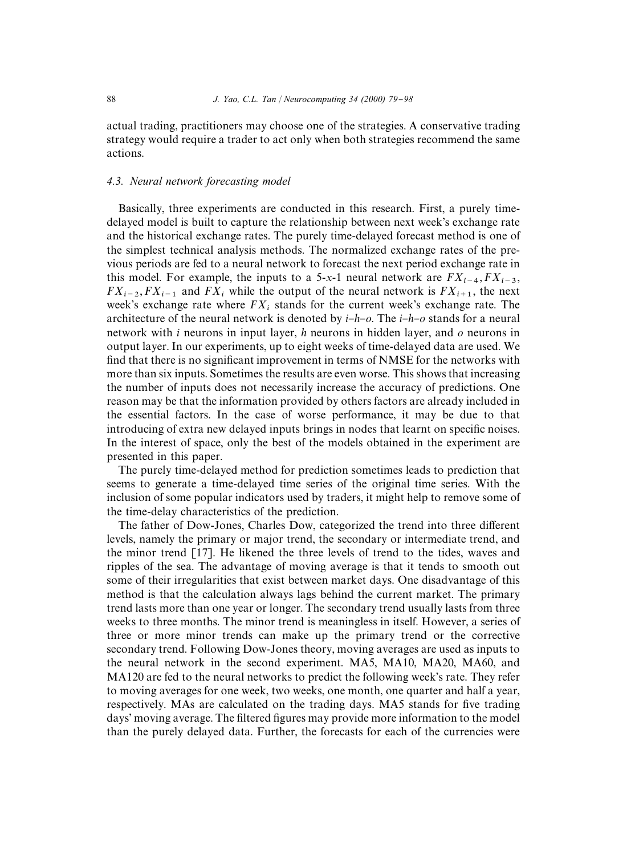actual trading, practitioners may choose one of the strategies. A conservative trading strategy would require a trader to act only when both strategies recommend the same actions.

#### *4.3. Neural network forecasting model*

Basically, three experiments are conducted in this research. First, a purely timedelayed model is built to capture the relationship between next week's exchange rate and the historical exchange rates. The purely time-delayed forecast method is one of the simplest technical analysis methods. The normalized exchange rates of the previous periods are fed to a neural network to forecast the next period exchange rate in this model. For example, the inputs to a 5-*x*-1 neural network are  $FX_{i-4}$ ,  $FX_{i-3}$ ,  $FX_{i-2}, FX_{i-1}$  and  $FX_i$  while the output of the neural network is  $FX_{i+1}$ , the next week's exchange rate where  $FX_i$  stands for the current week's exchange rate. The architecture of the neural network is denoted by *i*-*h*-*o*. The *i*-*h*-*o* stands for a neural network with *i* neurons in input layer, *h* neurons in hidden layer, and *o* neurons in output layer. In our experiments, up to eight weeks of time-delayed data are used. We find that there is no significant improvement in terms of NMSE for the networks with more than six inputs. Sometimes the results are even worse. This shows that increasing the number of inputs does not necessarily increase the accuracy of predictions. One reason may be that the information provided by others factors are already included in the essential factors. In the case of worse performance, it may be due to that introducing of extra new delayed inputs brings in nodes that learnt on specific noises. In the interest of space, only the best of the models obtained in the experiment are presented in this paper.

The purely time-delayed method for prediction sometimes leads to prediction that seems to generate a time-delayed time series of the original time series. With the inclusion of some popular indicators used by traders, it might help to remove some of the time-delay characteristics of the prediction.

The father of Dow-Jones, Charles Dow, categorized the trend into three different levels, namely the primary or major trend, the secondary or intermediate trend, and the minor trend [17]. He likened the three levels of trend to the tides, waves and ripples of the sea. The advantage of moving average is that it tends to smooth out some of their irregularities that exist between market days. One disadvantage of this method is that the calculation always lags behind the current market. The primary trend lasts more than one year or longer. The secondary trend usually lasts from three weeks to three months. The minor trend is meaningless in itself. However, a series of three or more minor trends can make up the primary trend or the corrective secondary trend. Following Dow-Jones theory, moving averages are used as inputs to the neural network in the second experiment. MA5, MA10, MA20, MA60, and MA120 are fed to the neural networks to predict the following week's rate. They refer to moving averages for one week, two weeks, one month, one quarter and half a year, respectively. MAs are calculated on the trading days. MA5 stands for five trading days' moving average. The filtered figures may provide more information to the model than the purely delayed data. Further, the forecasts for each of the currencies were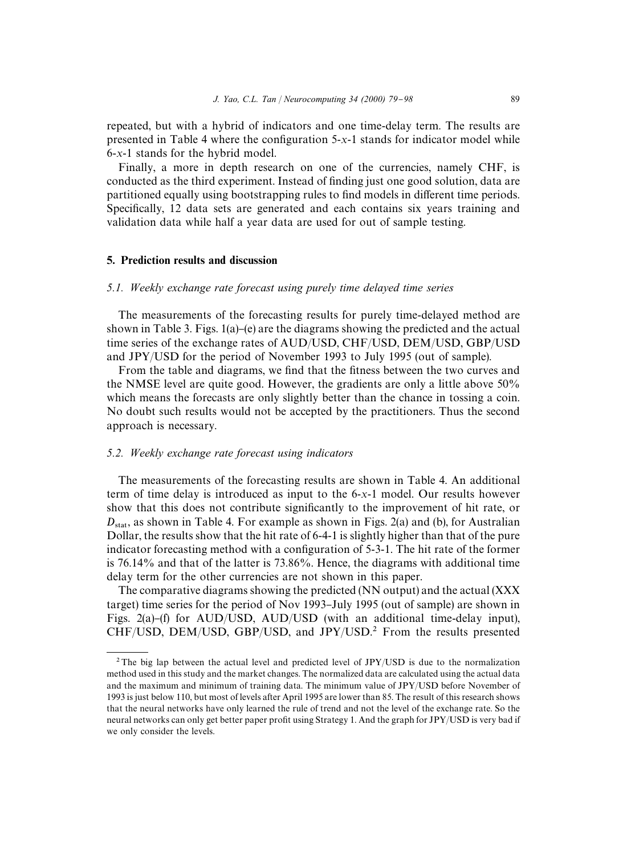repeated, but with a hybrid of indicators and one time-delay term. The results are presented in Table 4 where the configuration 5-*x*-1 stands for indicator model while 6-*x*-1 stands for the hybrid model.

Finally, a more in depth research on one of the currencies, namely CHF, is conducted as the third experiment. Instead of finding just one good solution, data are partitioned equally using bootstrapping rules to find models in different time periods. Specifically, 12 data sets are generated and each contains six years training and validation data while half a year data are used for out of sample testing.

## 5. Prediction results and discussion

# *5.1. Weekly exchange rate forecast using purely time delayed time series*

The measurements of the forecasting results for purely time-delayed method are shown in Table 3. Figs.  $1(a)$ –(e) are the diagrams showing the predicted and the actual time series of the exchange rates of AUD/USD, CHF/USD, DEM/USD, GBP/USD and JPY/USD for the period of November 1993 to July 1995 (out of sample).

From the table and diagrams, we find that the fitness between the two curves and the NMSE level are quite good. However, the gradients are only a little above 50% which means the forecasts are only slightly better than the chance in tossing a coin. No doubt such results would not be accepted by the practitioners. Thus the second approach is necessary.

#### *5.2. Weekly exchange rate forecast using indicators*

The measurements of the forecasting results are shown in Table 4. An additional term of time delay is introduced as input to the 6-*x*-1 model. Our results however show that this does not contribute significantly to the improvement of hit rate, or  $D_{\text{stat}}$ , as shown in Table 4. For example as shown in Figs. 2(a) and (b), for Australian Dollar, the results show that the hit rate of 6-4-1 is slightly higher than that of the pure indicator forecasting method with a configuration of  $5-3-1$ . The hit rate of the former is 76.14% and that of the latter is 73.86%. Hence, the diagrams with additional time delay term for the other currencies are not shown in this paper.

The comparative diagrams showing the predicted (NN output) and the actual (XXX target) time series for the period of Nov 1993–July 1995 (out of sample) are shown in Figs.  $2(a)$ –(f) for AUD/USD, AUD/USD (with an additional time-delay input), CHF/USD, DEM/USD, GBP/USD, and JPY/USD.2 From the results presented

<sup>&</sup>lt;sup>2</sup>The big lap between the actual level and predicted level of JPY/USD is due to the normalization method used in this study and the market changes. The normalized data are calculated using the actual data and the maximum and minimum of training data. The minimum value of JPY/USD before November of 1993 is just below 110, but most of levels after April 1995 are lower than 85. The result of this research shows that the neural networks have only learned the rule of trend and not the level of the exchange rate. So the neural networks can only get better paper profit using Strategy 1. And the graph for JPY/USD is very bad if we only consider the levels.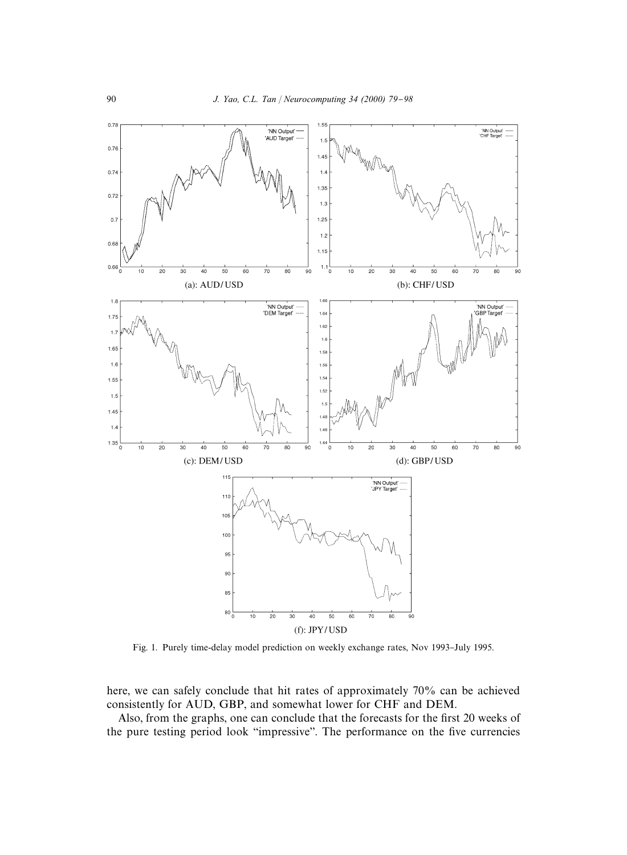

Fig. 1. Purely time-delay model prediction on weekly exchange rates, Nov 1993-July 1995.

here, we can safely conclude that hit rates of approximately 70% can be achieved consistently for AUD, GBP, and somewhat lower for CHF and DEM.

Also, from the graphs, one can conclude that the forecasts for the first 20 weeks of the pure testing period look "impressive". The performance on the five currencies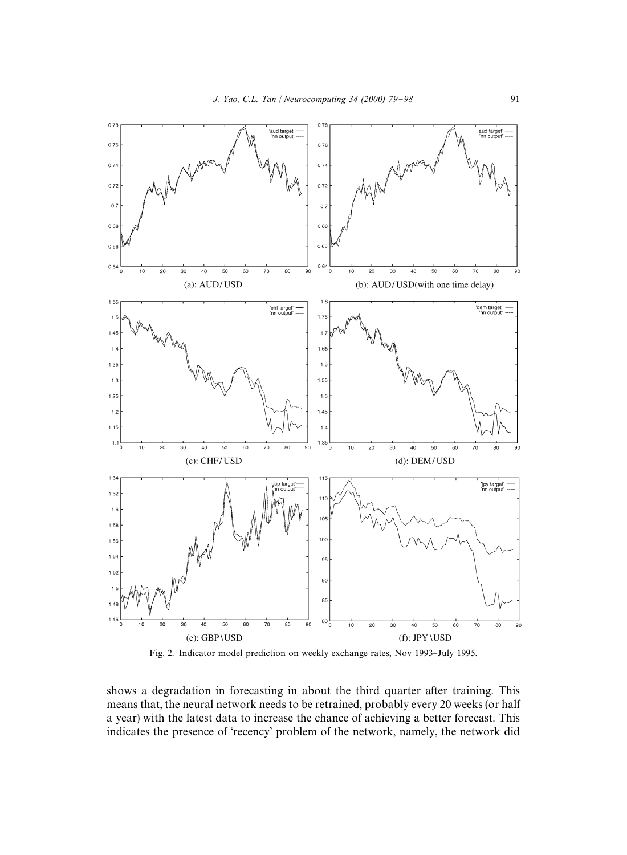

Fig. 2. Indicator model prediction on weekly exchange rates, Nov 1993-July 1995.

shows a degradation in forecasting in about the third quarter after training. This means that, the neural network needs to be retrained, probably every 20 weeks (or half a year) with the latest data to increase the chance of achieving a better forecast. This indicates the presence of 'recency' problem of the network, namely, the network did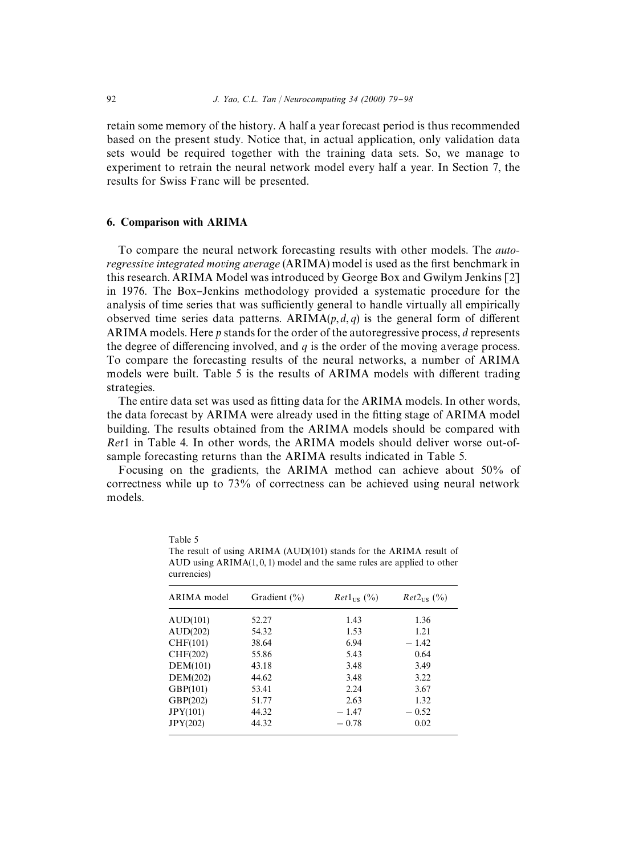retain some memory of the history. A half a year forecast period is thus recommended based on the present study. Notice that, in actual application, only validation data sets would be required together with the training data sets. So, we manage to experiment to retrain the neural network model every half a year. In Section 7, the results for Swiss Franc will be presented.

#### 6. Comparison with ARIMA

Table 5

To compare the neural network forecasting results with other models. The *autoregressive integrated moving average* (ARIMA) model is used as the first benchmark in this research. ARIMA Model was introduced by George Box and Gwilym Jenkins [2] in 1976. The Box–Jenkins methodology provided a systematic procedure for the analysis of time series that was sufficiently general to handle virtually all empirically observed time series data patterns.  $ARIMA(p, d, q)$  is the general form of different ARIMA models. Here *p* stands for the order of the autoregressive process, *d* represents the degree of differencing involved, and  $q$  is the order of the moving average process. To compare the forecasting results of the neural networks, a number of ARIMA models were built. Table 5 is the results of ARIMA models with different trading strategies.

The entire data set was used as fitting data for the ARIMA models. In other words, the data forecast by ARIMA were already used in the fitting stage of ARIMA model building. The results obtained from the ARIMA models should be compared with *Ret*1 in Table 4. In other words, the ARIMA models should deliver worse out-ofsample forecasting returns than the ARIMA results indicated in Table 5.

Focusing on the gradients, the ARIMA method can achieve about 50% of correctness while up to 73% of correctness can be achieved using neural network models.

| ARIMA model | Gradient $(\% )$ | $Ret1_{\text{IS}}$ (%) | $Ret2_{\text{US}}$ (%) |
|-------------|------------------|------------------------|------------------------|
| AUD(101)    | 52.27            | 1.43                   | 1.36                   |
| AUD(202)    | 54.32            | 1.53                   | 1.21                   |
| CHF(101)    | 38.64            | 6.94                   | $-1.42$                |
| CHF(202)    | 55.86            | 5.43                   | 0.64                   |
| DEM(101)    | 43.18            | 3.48                   | 3.49                   |
| DEM(202)    | 44.62            | 3.48                   | 3.22                   |
| GBP(101)    | 53.41            | 2.24                   | 3.67                   |
| GBP(202)    | 51.77            | 2.63                   | 1.32                   |
| JPY(101)    | 44.32            | $-1.47$                | $-0.52$                |
| JPY(202)    | 44.32            | $-0.78$                | 0.02                   |

The result of using ARIMA (AUD(101) stands for the ARIMA result of AUD using  $ARIMA(1, 0, 1)$  model and the same rules are applied to other currencies)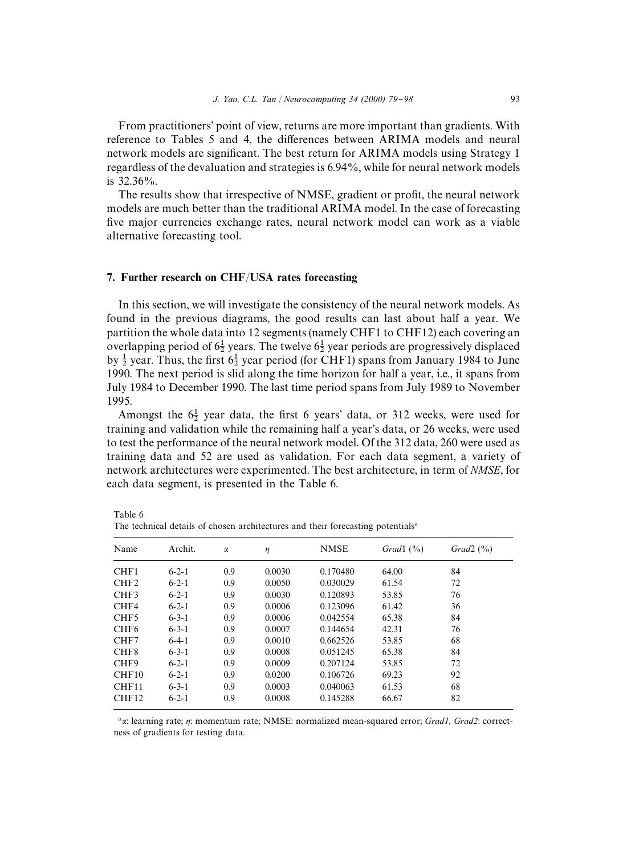From practitioners' point of view, returns are more important than gradients. With reference to Tables 5 and 4, the differences between ARIMA models and neural network models are significant. The best return for ARIMA models using Strategy 1 regardless of the devaluation and strategies is 6.94%, while for neural network models is 32.36%.

The results show that irrespective of NMSE, gradient or profit, the neural network models are much better than the traditional ARIMA model. In the case of forecasting five major currencies exchange rates, neural network model can work as a viable alternative forecasting tool.

## 7. Further research on CHF/USA rates forecasting

In this section, we will investigate the consistency of the neural network models. As found in the previous diagrams, the good results can last about half a year. We partition the whole data into 12 segments (namely CHF1 to CHF12) each covering an overlapping period of  $6\frac{1}{2}$  years. The twelve  $6\frac{1}{2}$  year periods are progressively displaced by  $\frac{1}{2}$  year. Thus, the first  $6\frac{1}{2}$  year period (for CHF1) spans from January 1984 to June 1990. The next period is slid along the time horizon for half a year, i.e., it spans from July 1984 to December 1990. The last time period spans from July 1989 to November 1995.

Amongst the  $6\frac{1}{2}$  year data, the first 6 years' data, or 312 weeks, were used for training and validation while the remaining half a year's data, or 26 weeks, were used to test the performance of the neural network model. Of the 312 data, 260 were used as training data and 52 are used as validation. For each data segment, a variety of network architectures were experimented. The best architecture, in term of *NMSE*, for each data segment, is presented in the Table 6.

| Name             | Archit.     | $\alpha$ | $\eta$ | <b>NMSE</b> | Grad $1 \ (\%)$ | Grad2 (%) |
|------------------|-------------|----------|--------|-------------|-----------------|-----------|
| CHF1             | $6 - 2 - 1$ | 0.9      | 0.0030 | 0.170480    | 64.00           | 84        |
| CHF <sub>2</sub> | $6 - 2 - 1$ | 0.9      | 0.0050 | 0.030029    | 61.54           | 72        |
| CHF3             | $6 - 2 - 1$ | 0.9      | 0.0030 | 0.120893    | 53.85           | 76        |
| CHF4             | $6 - 2 - 1$ | 0.9      | 0.0006 | 0.123096    | 61.42           | 36        |
| CHF <sub>5</sub> | $6 - 3 - 1$ | 0.9      | 0.0006 | 0.042554    | 65.38           | 84        |
| CHF <sub>6</sub> | $6 - 3 - 1$ | 0.9      | 0.0007 | 0.144654    | 42.31           | 76        |
| CHF7             | $6-4-1$     | 0.9      | 0.0010 | 0.662526    | 53.85           | 68        |
| CHF <sub>8</sub> | $6 - 3 - 1$ | 0.9      | 0.0008 | 0.051245    | 65.38           | 84        |
| CHF9             | $6 - 2 - 1$ | 0.9      | 0.0009 | 0.207124    | 53.85           | 72        |
| CHF10            | $6 - 2 - 1$ | 0.9      | 0.0200 | 0.106726    | 69.23           | 92        |
| CHF11            | $6 - 3 - 1$ | 0.9      | 0.0003 | 0.040063    | 61.53           | 68        |
| CHF12            | $6 - 2 - 1$ | 0.9      | 0.0008 | 0.145288    | 66.67           | 82        |

The technical details of chosen architectures and their forecasting potentials<sup>a</sup>

Table 6

<sup>a</sup>x: learning rate; *n*: momentum rate; NMSE: normalized mean-squared error; *Grad1*, *Grad2*: correctness of gradients for testing data.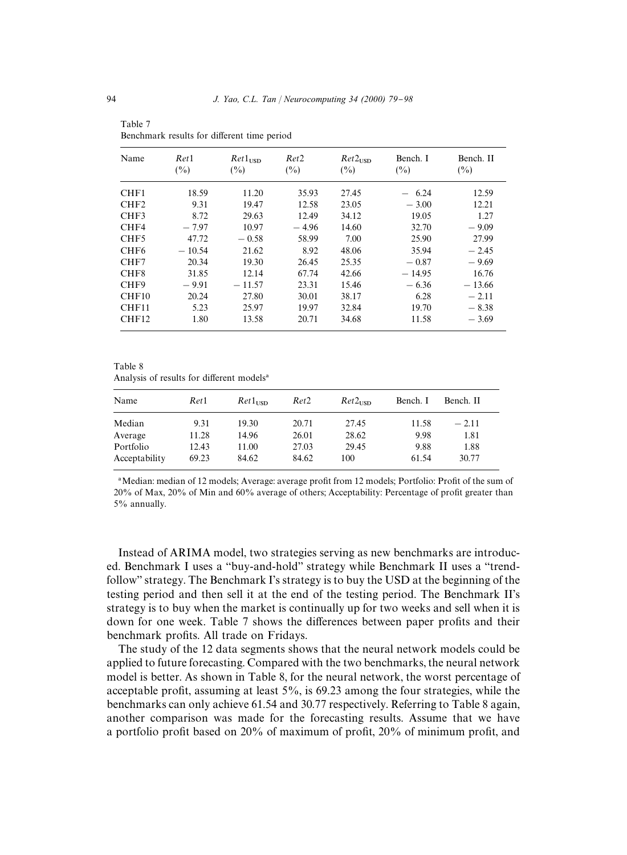| Name              | Ret1<br>$(\%)$ | $Ret1_{USD}$<br>$(\%)$ | Ret2<br>$(\%)$ | $Ret2_{USD}$<br>$(\%)$ | Bench. I<br>(%) | Bench. II<br>$(\%)$ |
|-------------------|----------------|------------------------|----------------|------------------------|-----------------|---------------------|
| CHF1              | 18.59          | 11.20                  | 35.93          | 27.45                  | $-6.24$         | 12.59               |
| CHF2              | 9.31           | 19.47                  | 12.58          | 23.05                  | $-3.00$         | 12.21               |
| CHF3              | 8.72           | 29.63                  | 12.49          | 34.12                  | 19.05           | 1.27                |
| CHF4              | $-7.97$        | 10.97                  | $-4.96$        | 14.60                  | 32.70           | $-9.09$             |
| CHF <sub>5</sub>  | 47.72          | $-0.58$                | 58.99          | 7.00                   | 25.90           | 27.99               |
| CHF <sub>6</sub>  | $-10.54$       | 21.62                  | 8.92           | 48.06                  | 35.94           | $-2.45$             |
| CHF7              | 20.34          | 19.30                  | 26.45          | 25.35                  | $-0.87$         | $-9.69$             |
| CHF <sub>8</sub>  | 31.85          | 12.14                  | 67.74          | 42.66                  | $-14.95$        | 16.76               |
| CHF9              | $-9.91$        | $-11.57$               | 23.31          | 15.46                  | $-6.36$         | $-13.66$            |
| CHF <sub>10</sub> | 20.24          | 27.80                  | 30.01          | 38.17                  | 6.28            | $-2.11$             |
| CHF11             | 5.23           | 25.97                  | 19.97          | 32.84                  | 19.70           | $-8.38$             |
| CHF <sub>12</sub> | 1.80           | 13.58                  | 20.71          | 34.68                  | 11.58           | $-3.69$             |

| Table 7                                     |  |  |
|---------------------------------------------|--|--|
| Benchmark results for different time period |  |  |

Table 8 Analysis of results for different models<sup>a</sup>

| Name          | Ret1  | $Ret1_{\text{USD}}$ | Ret2  | $Ret2_{\text{LSD}}$ | Bench. I | Bench. II |
|---------------|-------|---------------------|-------|---------------------|----------|-----------|
| Median        | 9.31  | 19.30               | 20.71 | 27.45               | 11.58    | $-2.11$   |
| Average       | 11.28 | 14.96               | 26.01 | 28.62               | 9.98     | 1.81      |
| Portfolio     | 12.43 | 11.00               | 27.03 | 29.45               | 9.88     | 1.88      |
| Acceptability | 69.23 | 84.62               | 84.62 | 100                 | 61.54    | 30.77     |

<sup>a</sup> Median: median of 12 models; Average: average profit from 12 models; Portfolio: Profit of the sum of 20% of Max, 20% of Min and 60% average of others; Acceptability: Percentage of profit greater than 5% annually.

Instead of ARIMA model, two strategies serving as new benchmarks are introduced. Benchmark I uses a "buy-and-hold" strategy while Benchmark II uses a "trendfollow" strategy. The Benchmark I's strategy is to buy the USD at the beginning of the testing period and then sell it at the end of the testing period. The Benchmark II's strategy is to buy when the market is continually up for two weeks and sell when it is down for one week. Table 7 shows the differences between paper profits and their benchmark profits. All trade on Fridays.

The study of the 12 data segments shows that the neural network models could be applied to future forecasting. Compared with the two benchmarks, the neural network model is better. As shown in Table 8, for the neural network, the worst percentage of acceptable profit, assuming at least  $5\%$ , is 69.23 among the four strategies, while the benchmarks can only achieve 61.54 and 30.77 respectively. Referring to Table 8 again, another comparison was made for the forecasting results. Assume that we have a portfolio profit based on  $20\%$  of maximum of profit,  $20\%$  of minimum profit, and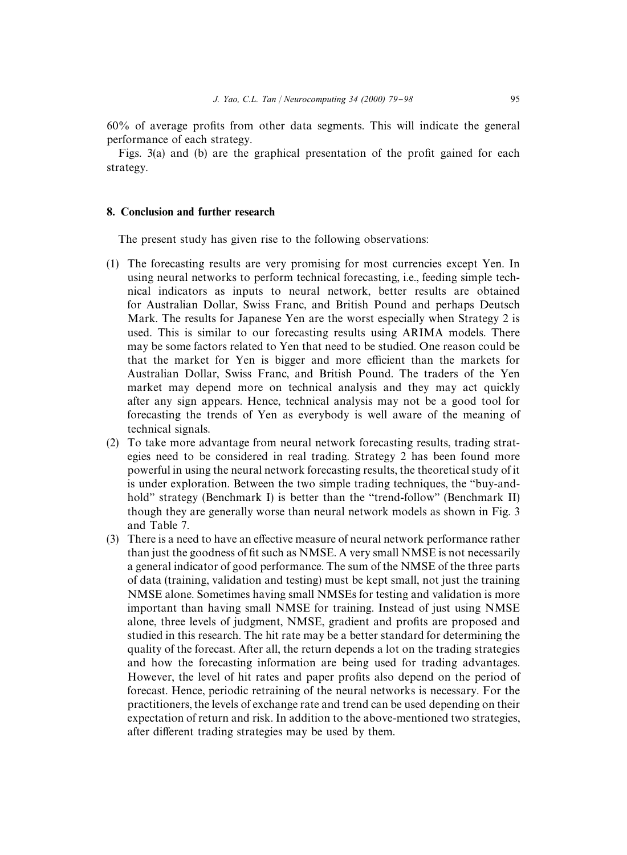$60\%$  of average profits from other data segments. This will indicate the general performance of each strategy.

Figs.  $3(a)$  and (b) are the graphical presentation of the profit gained for each strategy.

## 8. Conclusion and further research

The present study has given rise to the following observations:

- (1) The forecasting results are very promising for most currencies except Yen. In using neural networks to perform technical forecasting, i.e., feeding simple technical indicators as inputs to neural network, better results are obtained for Australian Dollar, Swiss Franc, and British Pound and perhaps Deutsch Mark. The results for Japanese Yen are the worst especially when Strategy 2 is used. This is similar to our forecasting results using ARIMA models. There may be some factors related to Yen that need to be studied. One reason could be that the market for Yen is bigger and more efficient than the markets for Australian Dollar, Swiss Franc, and British Pound. The traders of the Yen market may depend more on technical analysis and they may act quickly after any sign appears. Hence, technical analysis may not be a good tool for forecasting the trends of Yen as everybody is well aware of the meaning of technical signals.
- (2) To take more advantage from neural network forecasting results, trading strategies need to be considered in real trading. Strategy 2 has been found more powerful in using the neural network forecasting results, the theoretical study of it is under exploration. Between the two simple trading techniques, the "buy-andhold" strategy (Benchmark I) is better than the "trend-follow" (Benchmark II) though they are generally worse than neural network models as shown in Fig. 3 and Table 7.
- (3) There is a need to have an effective measure of neural network performance rather than just the goodness of fit such as NMSE. A very small NMSE is not necessarily a general indicator of good performance. The sum of the NMSE of the three parts of data (training, validation and testing) must be kept small, not just the training NMSE alone. Sometimes having small NMSEs for testing and validation is more important than having small NMSE for training. Instead of just using NMSE alone, three levels of judgment, NMSE, gradient and profits are proposed and studied in this research. The hit rate may be a better standard for determining the quality of the forecast. After all, the return depends a lot on the trading strategies and how the forecasting information are being used for trading advantages. However, the level of hit rates and paper profits also depend on the period of forecast. Hence, periodic retraining of the neural networks is necessary. For the practitioners, the levels of exchange rate and trend can be used depending on their expectation of return and risk. In addition to the above-mentioned two strategies, after different trading strategies may be used by them.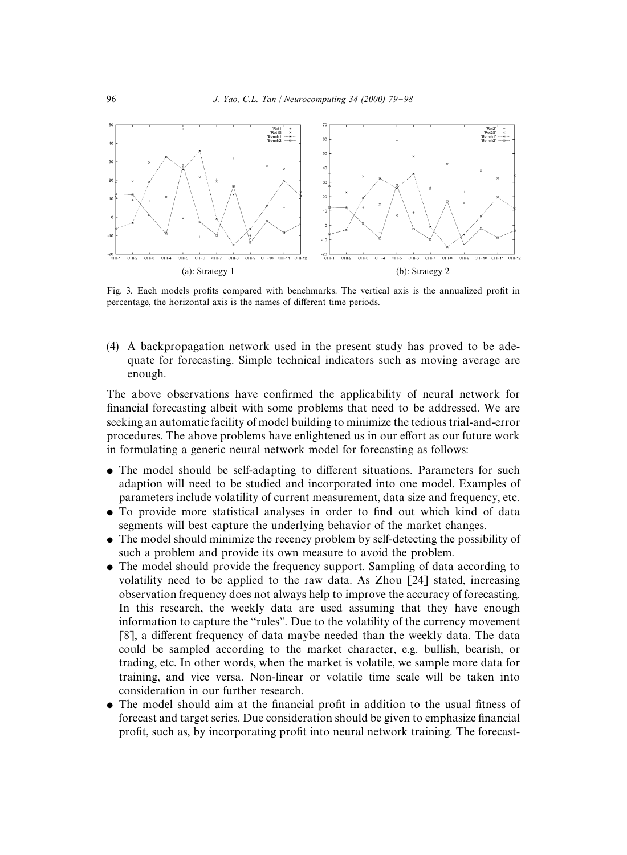

Fig. 3. Each models profits compared with benchmarks. The vertical axis is the annualized profit in percentage, the horizontal axis is the names of different time periods.

(4) A backpropagation network used in the present study has proved to be adequate for forecasting. Simple technical indicators such as moving average are enough.

The above observations have confirmed the applicability of neural network for financial forecasting albeit with some problems that need to be addressed. We are seeking an automatic facility of model building to minimize the tedious trial-and-error procedures. The above problems have enlightened us in our effort as our future work in formulating a generic neural network model for forecasting as follows:

- The model should be self-adapting to different situations. Parameters for such adaption will need to be studied and incorporated into one model. Examples of parameters include volatility of current measurement, data size and frequency, etc.
- To provide more statistical analyses in order to find out which kind of data segments will best capture the underlying behavior of the market changes.
- $\bullet$  The model should minimize the recency problem by self-detecting the possibility of such a problem and provide its own measure to avoid the problem.
- The model should provide the frequency support. Sampling of data according to volatility need to be applied to the raw data. As Zhou [24] stated, increasing observation frequency does not always help to improve the accuracy of forecasting. In this research, the weekly data are used assuming that they have enough information to capture the "rules". Due to the volatility of the currency movement [8], a different frequency of data maybe needed than the weekly data. The data could be sampled according to the market character, e.g. bullish, bearish, or trading, etc. In other words, when the market is volatile, we sample more data for training, and vice versa. Non-linear or volatile time scale will be taken into consideration in our further research.
- The model should aim at the financial profit in addition to the usual fitness of forecast and target series. Due consideration should be given to emphasize financial profit, such as, by incorporating profit into neural network training. The forecast-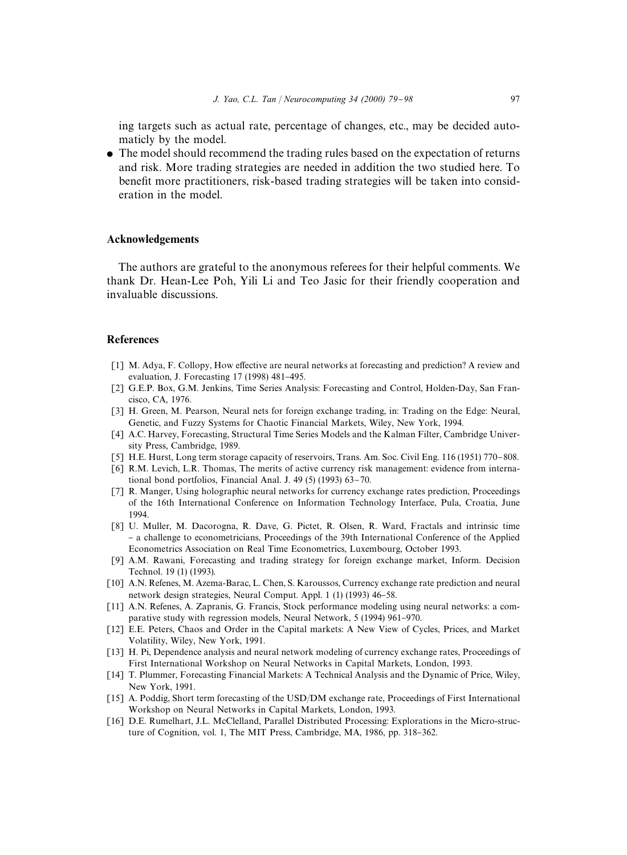ing targets such as actual rate, percentage of changes, etc., may be decided automaticly by the model.

• The model should recommend the trading rules based on the expectation of returns and risk. More trading strategies are needed in addition the two studied here. To benefit more practitioners, risk-based trading strategies will be taken into consideration in the model.

#### Acknowledgements

The authors are grateful to the anonymous referees for their helpful comments. We thank Dr. Hean-Lee Poh, Yili Li and Teo Jasic for their friendly cooperation and invaluable discussions.

## References

- [1] M. Adya, F. Collopy, How effective are neural networks at forecasting and prediction? A review and evaluation, J. Forecasting 17 (1998) 481-495.
- [2] G.E.P. Box, G.M. Jenkins, Time Series Analysis: Forecasting and Control, Holden-Day, San Francisco, CA, 1976.
- [3] H. Green, M. Pearson, Neural nets for foreign exchange trading, in: Trading on the Edge: Neural, Genetic, and Fuzzy Systems for Chaotic Financial Markets, Wiley, New York, 1994.
- [4] A.C. Harvey, Forecasting, Structural Time Series Models and the Kalman Filter, Cambridge University Press, Cambridge, 1989.
- [5] H.E. Hurst, Long term storage capacity of reservoirs, Trans. Am. Soc. Civil Eng. 116 (1951) 770–808.
- [6] R.M. Levich, L.R. Thomas, The merits of active currency risk management: evidence from international bond portfolios, Financial Anal. J.  $49$  (5) (1993)  $63-70$ .
- [7] R. Manger, Using holographic neural networks for currency exchange rates prediction, Proceedings of the 16th International Conference on Information Technology Interface, Pula, Croatia, June 1994.
- [8] U. Muller, M. Dacorogna, R. Dave, G. Pictet, R. Olsen, R. Ward, Fractals and intrinsic time } a challenge to econometricians, Proceedings of the 39th International Conference of the Applied Econometrics Association on Real Time Econometrics, Luxembourg, October 1993.
- [9] A.M. Rawani, Forecasting and trading strategy for foreign exchange market, Inform. Decision Technol. 19 (1) (1993).
- [10] A.N. Refenes, M. Azema-Barac, L. Chen, S. Karoussos, Currency exchange rate prediction and neural network design strategies, Neural Comput. Appl. 1 (1) (1993) 46-58.
- [11] A.N. Refenes, A. Zapranis, G. Francis, Stock performance modeling using neural networks: a comparative study with regression models, Neural Network, 5 (1994) 961–970.
- [12] E.E. Peters, Chaos and Order in the Capital markets: A New View of Cycles, Prices, and Market Volatility, Wiley, New York, 1991.
- [13] H. Pi, Dependence analysis and neural network modeling of currency exchange rates, Proceedings of First International Workshop on Neural Networks in Capital Markets, London, 1993.
- [14] T. Plummer, Forecasting Financial Markets: A Technical Analysis and the Dynamic of Price, Wiley, New York, 1991.
- [15] A. Poddig, Short term forecasting of the USD/DM exchange rate, Proceedings of First International Workshop on Neural Networks in Capital Markets, London, 1993.
- [16] D.E. Rumelhart, J.L. McClelland, Parallel Distributed Processing: Explorations in the Micro-structure of Cognition, vol. 1, The MIT Press, Cambridge, MA, 1986, pp. 318–362.